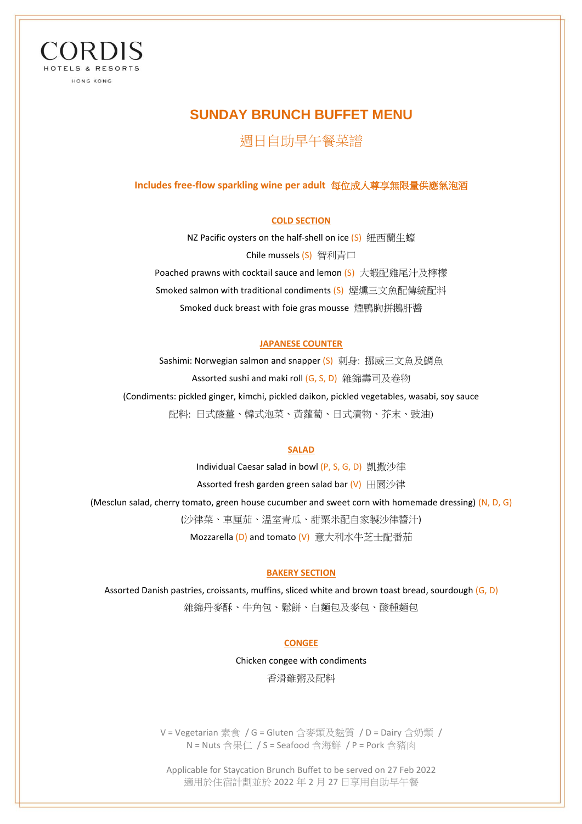ORDIS HOTELS & RESORTS HONG KONG

# **SUNDAY BRUNCH BUFFET MENU**

# 週日自助早午餐菜譜

## **Includes free-flow sparkling wine per adult** 每位成人尊享無限量供應氣泡酒

# **COLD SECTION**

NZ Pacific oysters on the half-shell on ice (S) 紐西蘭生蠔

# Chile mussels (S) 智利青口

Poached prawns with cocktail sauce and lemon (S) 大蝦配雞尾汁及檸檬

Smoked salmon with traditional condiments (S) 煙燻三文魚配傳統配料

Smoked duck breast with foie gras mousse 煙鴨胸拼鵝肝醬

## **JAPANESE COUNTER**

Sashimi: Norwegian salmon and snapper (S) 刺身: 挪威三文魚及鯛魚 Assorted sushi and maki roll (G, S, D) 雜錦壽司及卷物 (Condiments: pickled ginger, kimchi, pickled daikon, pickled vegetables, wasabi, soy sauce 配料: 日式酸薑、韓式泡菜、黃蘿蔔、日式漬物、芥末、豉油)

## **SALAD**

Individual Caesar salad in bowl (P, S, G, D) 凱撒沙律 Assorted fresh garden green salad bar (V) 田園沙律 (Mesclun salad, cherry tomato, green house cucumber and sweet corn with homemade dressing) (N, D, G) (沙律菜、車厘茄、溫室青瓜、甜粟米配自家製沙律醬汁) Mozzarella (D) and tomato (V) 意大利水牛芝士配番茄

#### **BAKERY SECTION**

Assorted Danish pastries, croissants, muffins, sliced white and brown toast bread, sourdough (G, D) 雜錦丹麥酥、牛角包、鬆餅、白麵包及麥包、酸種麵包

## **CONGEE**

Chicken congee with condiments

香滑雞粥及配料

V = Vegetarian 素食 / G = Gluten 含麥類及麩質 / D = Dairy 含奶類 / N = Nuts 含果仁 / S = Seafood 含海鮮 / P = Pork 含豬肉

Applicable for Staycation Brunch Buffet to be served on 27 Feb 2022 適用於住宿計劃並於 2022 年 2 月 27 日享用自助早午餐